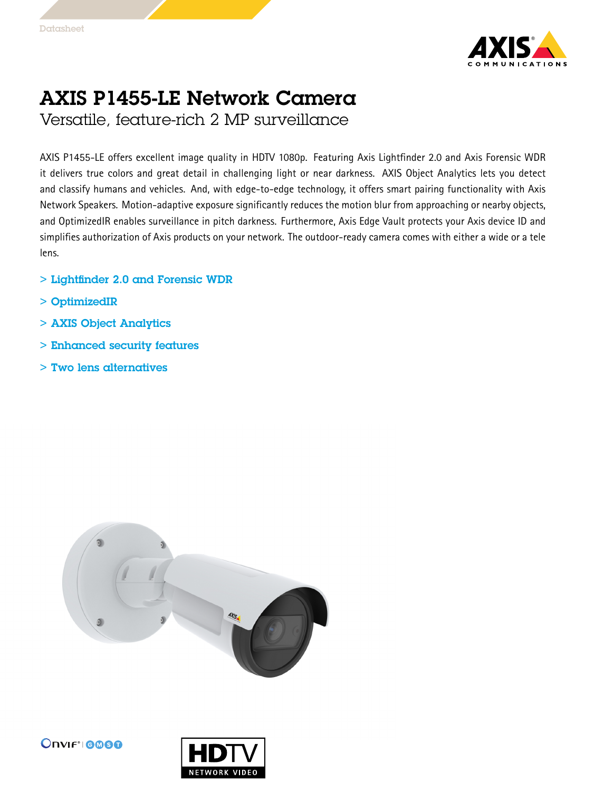

## AXIS P1455-LE Network Camera

Versatile, feature-rich 2 MP surveillance

AXIS P1455-LE offers excellent image quality in HDTV 1080p. Featuring Axis Lightfinder 2.0 and Axis Forensic WDR it delivers true colors and great detail in challenging light or near darkness. AXIS Object Analytics lets you detect and classify humans and vehicles. And, with edge-to-edge technology, it offers smart pairing functionality with Axis Network Speakers. Motion-adaptive exposure significantly reduces the motion blur from approaching or nearby objects, and OptimizedIR enables surveillance in pitch darkness. Furthermore, Axis Edge Vault protects your Axis device ID and simplifies authorization of Axis products on your network. The outdoor-ready camera comes with either <sup>a</sup> wide or <sup>a</sup> tele lens.

- > Lightfinder 2.0 and Forensic WDR
- > OptimizedIR
- > AXIS Object Analytics
- > Enhanced security features
- > Two lens alternatives





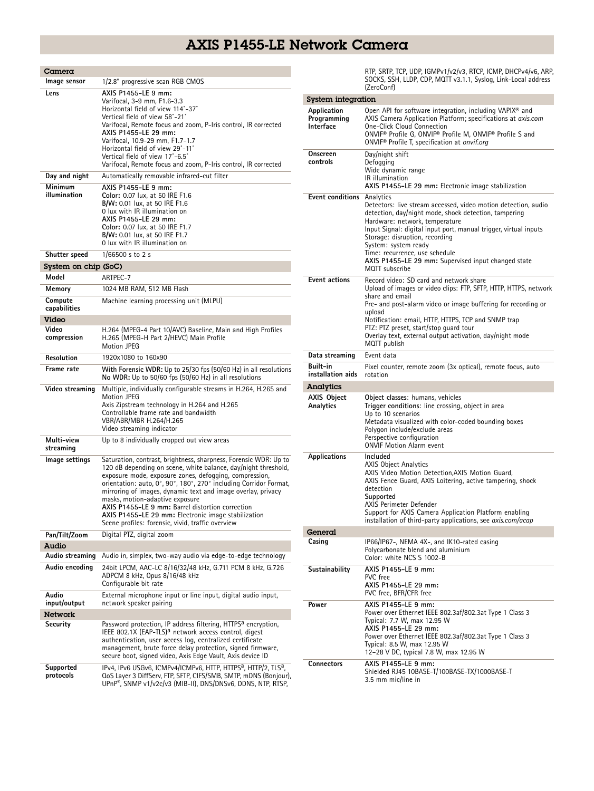## AXIS P1455-LE Network Camera

| Camera                  |                                                                                                                                                                                                                                                                                                                                                                                                                                                                                                                                      |
|-------------------------|--------------------------------------------------------------------------------------------------------------------------------------------------------------------------------------------------------------------------------------------------------------------------------------------------------------------------------------------------------------------------------------------------------------------------------------------------------------------------------------------------------------------------------------|
| Image sensor            | 1/2.8" progressive scan RGB CMOS                                                                                                                                                                                                                                                                                                                                                                                                                                                                                                     |
| Lens                    | AXIS P1455-LE 9 mm:<br>Varifocal, 3-9 mm, F1.6-3.3<br>Horizontal field of view 114°-37°<br>Vertical field of view 58°-21°<br>Varifocal, Remote focus and zoom, P-Iris control, IR corrected<br>AXIS P1455-LE 29 mm:<br>Varifocal, 10.9-29 mm, F1.7-1.7<br>Horizontal field of view 29°-11°<br>Vertical field of view 17°-6.5°<br>Varifocal, Remote focus and zoom, P-Iris control, IR corrected                                                                                                                                      |
| Day and night           | Automatically removable infrared-cut filter                                                                                                                                                                                                                                                                                                                                                                                                                                                                                          |
| Minimum<br>illumination | AXIS P1455-LE 9 mm:<br>Color: 0.07 lux, at 50 IRE F1.6<br>B/W: 0.01 lux, at 50 IRE F1.6<br>0 lux with IR illumination on<br>AXIS P1455-LE 29 mm:<br>Color: 0.07 lux, at 50 IRE F1.7<br>B/W: 0.01 lux, at 50 IRE F1.7<br>0 lux with IR illumination on                                                                                                                                                                                                                                                                                |
| Shutter speed           | $1/66500$ s to 2 s                                                                                                                                                                                                                                                                                                                                                                                                                                                                                                                   |
| System on chip (SoC)    |                                                                                                                                                                                                                                                                                                                                                                                                                                                                                                                                      |
| Model                   | ARTPEC-7                                                                                                                                                                                                                                                                                                                                                                                                                                                                                                                             |
| Memory                  | 1024 MB RAM, 512 MB Flash                                                                                                                                                                                                                                                                                                                                                                                                                                                                                                            |
| Compute<br>capabilities | Machine learning processing unit (MLPU)                                                                                                                                                                                                                                                                                                                                                                                                                                                                                              |
| Video                   |                                                                                                                                                                                                                                                                                                                                                                                                                                                                                                                                      |
| Video                   | H.264 (MPEG-4 Part 10/AVC) Baseline, Main and High Profiles                                                                                                                                                                                                                                                                                                                                                                                                                                                                          |
| compression             | H.265 (MPEG-H Part 2/HEVC) Main Profile<br><b>Motion JPEG</b>                                                                                                                                                                                                                                                                                                                                                                                                                                                                        |
| <b>Resolution</b>       | 1920x1080 to 160x90                                                                                                                                                                                                                                                                                                                                                                                                                                                                                                                  |
| Frame rate              | With Forensic WDR: Up to 25/30 fps (50/60 Hz) in all resolutions<br>No WDR: Up to 50/60 fps (50/60 Hz) in all resolutions                                                                                                                                                                                                                                                                                                                                                                                                            |
| Video streaming         | Multiple, individually configurable streams in H.264, H.265 and<br>Motion JPEG<br>Axis Zipstream technology in H.264 and H.265<br>Controllable frame rate and bandwidth<br>VBR/ABR/MBR H.264/H.265<br>Video streaming indicator                                                                                                                                                                                                                                                                                                      |
| Multi-view<br>streaming | Up to 8 individually cropped out view areas                                                                                                                                                                                                                                                                                                                                                                                                                                                                                          |
| Image settings          | Saturation, contrast, brightness, sharpness, Forensic WDR: Up to<br>120 dB depending on scene, white balance, day/night threshold,<br>exposure mode, exposure zones, defogging, compression,<br>orientation: auto, 0°, 90°, 180°, 270° including Corridor Format,<br>mirroring of images, dynamic text and image overlay, privacy<br>masks, motion-adaptive exposure<br>AXIS P1455-LE 9 mm: Barrel distortion correction<br>AXIS P1455-LE 29 mm: Electronic image stabilization<br>Scene profiles: forensic, vivid, traffic overview |
| Pan/Tilt/Zoom           | Digital PTZ, digital zoom                                                                                                                                                                                                                                                                                                                                                                                                                                                                                                            |
| Audio                   |                                                                                                                                                                                                                                                                                                                                                                                                                                                                                                                                      |
| Audio streaming         | Audio in, simplex, two-way audio via edge-to-edge technology                                                                                                                                                                                                                                                                                                                                                                                                                                                                         |
| Audio encoding          | 24bit LPCM, AAC-LC 8/16/32/48 kHz, G.711 PCM 8 kHz, G.726<br>ADPCM 8 kHz, Opus 8/16/48 kHz<br>Configurable bit rate                                                                                                                                                                                                                                                                                                                                                                                                                  |
| Audio<br>input/output   | External microphone input or line input, digital audio input,<br>network speaker pairing                                                                                                                                                                                                                                                                                                                                                                                                                                             |
| Network                 |                                                                                                                                                                                                                                                                                                                                                                                                                                                                                                                                      |
| Security                | Password protection, IP address filtering, HTTPS <sup>a</sup> encryption,<br>IEEE 802.1X (EAP-TLS) <sup>a</sup> network access control, digest<br>authentication, user access log, centralized certificate<br>management, brute force delay protection, signed firmware,<br>secure boot, signed video, Axis Edge Vault, Axis device ID                                                                                                                                                                                               |
| Supported<br>protocols  | IPv4, IPv6 USGv6, ICMPv4/ICMPv6, HTTP, HTTPS <sup>a</sup> , HTTP/2, TLS <sup>a</sup> ,<br>QoS Layer 3 DiffServ, FTP, SFTP, CIFS/SMB, SMTP, mDNS (Bonjour),                                                                                                                                                                                                                                                                                                                                                                           |
|                         | UPnP®, SNMP v1/v2c/v3 (MIB-II), DNS/DNSv6, DDNS, NTP, RTSP,                                                                                                                                                                                                                                                                                                                                                                                                                                                                          |

RTP, SRTP, TCP, UDP, IGMPv1/v2/v3, RTCP, ICMP, DHCPv4/v6, ARP, SOCKS, SSH, LLDP, CDP, MQTT v3.1.1, Syslog, Link-Local address (ZeroConf)

| System integration                      |                                                                                                                                                                                                                                                                                                                                                                                                                 |  |
|-----------------------------------------|-----------------------------------------------------------------------------------------------------------------------------------------------------------------------------------------------------------------------------------------------------------------------------------------------------------------------------------------------------------------------------------------------------------------|--|
| Application<br>Programming<br>Interface | Open API for software integration, including VAPIX <sup>®</sup> and<br>AXIS Camera Application Platform; specifications at axis.com<br><b>One-Click Cloud Connection</b><br>ONVIF® Profile G, ONVIF® Profile M, ONVIF® Profile S and<br>ONVIF <sup>®</sup> Profile T, specification at onvif.org                                                                                                                |  |
| Onscreen<br>controls                    | Day/night shift<br>Defogging<br>Wide dynamic range<br>IR illumination<br>AXIS P1455-LE 29 mm: Electronic image stabilization                                                                                                                                                                                                                                                                                    |  |
| Event conditions                        | Analytics<br>Detectors: live stream accessed, video motion detection, audio<br>detection, day/night mode, shock detection, tampering<br>Hardware: network, temperature<br>Input Signal: digital input port, manual trigger, virtual inputs<br>Storage: disruption, recording<br>System: system ready<br>Time: recurrence, use schedule<br>AXIS P1455-LE 29 mm: Supervised input changed state<br>MQTT subscribe |  |
| <b>Event actions</b>                    | Record video: SD card and network share<br>Upload of images or video clips: FTP, SFTP, HTTP, HTTPS, network<br>share and email<br>Pre- and post-alarm video or image buffering for recording or<br>upload<br>Notification: email, HTTP, HTTPS, TCP and SNMP trap<br>PTZ: PTZ preset, start/stop quard tour<br>Overlay text, external output activation, day/night mode<br>MQTT publish                          |  |
| Data streaming                          | Event data                                                                                                                                                                                                                                                                                                                                                                                                      |  |
| Built-in<br>installation aids           | Pixel counter, remote zoom (3x optical), remote focus, auto<br>rotation                                                                                                                                                                                                                                                                                                                                         |  |
| Analytics                               |                                                                                                                                                                                                                                                                                                                                                                                                                 |  |
| <b>AXIS Object</b><br>Analytics         | Object classes: humans, vehicles<br>Trigger conditions: line crossing, object in area<br>Up to 10 scenarios<br>Metadata visualized with color-coded bounding boxes<br>Polygon include/exclude areas<br>Perspective configuration<br><b>ONVIF Motion Alarm event</b>                                                                                                                                             |  |
| <b>Applications</b>                     | Included<br><b>AXIS Object Analytics</b><br>AXIS Video Motion Detection, AXIS Motion Guard,<br>AXIS Fence Guard, AXIS Loitering, active tampering, shock<br>detection<br>Supported<br>AXIS Perimeter Defender<br>Support for AXIS Camera Application Platform enabling<br>installation of third-party applications, see <i>axis.com/acap</i>                                                                    |  |
| General                                 |                                                                                                                                                                                                                                                                                                                                                                                                                 |  |
| Casing                                  | IP66/IP67-, NEMA 4X-, and IK10-rated casing<br>Polycarbonate blend and aluminium<br>Color: white NCS S 1002-B                                                                                                                                                                                                                                                                                                   |  |
| Sustainability                          | AXIS P1455-LE 9 mm:<br>PVC free<br>AXIS P1455-LE 29 mm:<br>PVC free, BFR/CFR free                                                                                                                                                                                                                                                                                                                               |  |
| Power                                   | AXIS P1455-LE 9 mm:<br>Power over Ethernet IEEE 802.3af/802.3at Type 1 Class 3<br>Typical: 7.7 W, max 12.95 W<br>AXIS P1455-LE 29 mm:<br>Power over Ethernet IEEE 802.3af/802.3at Type 1 Class 3<br>Typical: 8.5 W, max 12.95 W<br>12-28 V DC, typical 7.8 W, max 12.95 W                                                                                                                                       |  |
| <b>Connectors</b>                       | AXIS P1455-LE 9 mm:<br>Shielded RJ45 10BASE-T/100BASE-TX/1000BASE-T<br>3.5 mm mic/line in                                                                                                                                                                                                                                                                                                                       |  |